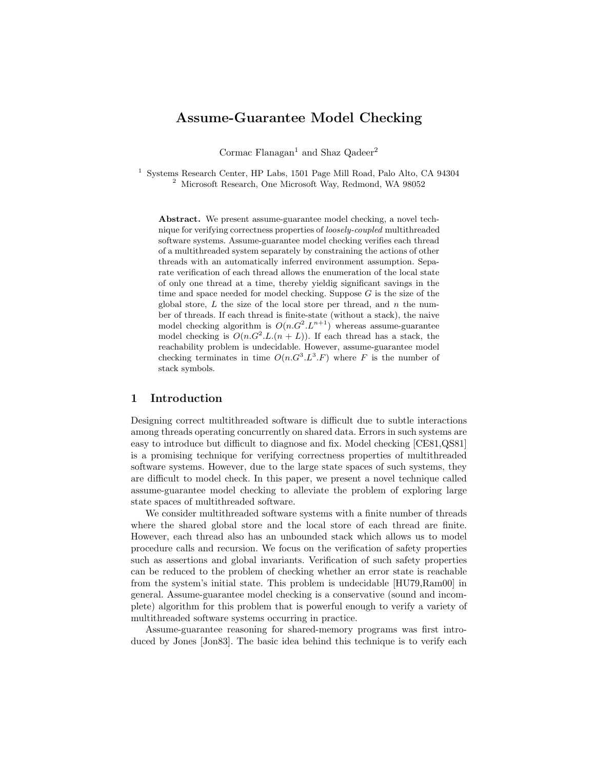# Assume-Guarantee Model Checking

Cormac Flanagan<sup>1</sup> and Shaz Qadeer<sup>2</sup>

 $^{\rm 1}$  Systems Research Center, HP Labs, 1501 Page Mill Road, Palo Alto, CA 94304 <sup>2</sup> Microsoft Research, One Microsoft Way, Redmond, WA 98052

Abstract. We present assume-guarantee model checking, a novel technique for verifying correctness properties of loosely-coupled multithreaded software systems. Assume-guarantee model checking verifies each thread of a multithreaded system separately by constraining the actions of other threads with an automatically inferred environment assumption. Separate verification of each thread allows the enumeration of the local state of only one thread at a time, thereby yieldig significant savings in the time and space needed for model checking. Suppose  $G$  is the size of the global store,  $L$  the size of the local store per thread, and  $n$  the number of threads. If each thread is finite-state (without a stack), the naive model checking algorithm is  $O(n \cdot G^2 \cdot L^{n+1})$  whereas assume-guarantee model checking is  $O(n \cdot G^2 \cdot L \cdot (n + L))$ . If each thread has a stack, the reachability problem is undecidable. However, assume-guarantee model checking terminates in time  $O(n \cdot G^3 \cdot L^3 \cdot F)$  where F is the number of stack symbols.

# 1 Introduction

Designing correct multithreaded software is difficult due to subtle interactions among threads operating concurrently on shared data. Errors in such systems are easy to introduce but difficult to diagnose and fix. Model checking [CE81,QS81] is a promising technique for verifying correctness properties of multithreaded software systems. However, due to the large state spaces of such systems, they are difficult to model check. In this paper, we present a novel technique called assume-guarantee model checking to alleviate the problem of exploring large state spaces of multithreaded software.

We consider multithreaded software systems with a finite number of threads where the shared global store and the local store of each thread are finite. However, each thread also has an unbounded stack which allows us to model procedure calls and recursion. We focus on the verification of safety properties such as assertions and global invariants. Verification of such safety properties can be reduced to the problem of checking whether an error state is reachable from the system's initial state. This problem is undecidable [HU79,Ram00] in general. Assume-guarantee model checking is a conservative (sound and incomplete) algorithm for this problem that is powerful enough to verify a variety of multithreaded software systems occurring in practice.

Assume-guarantee reasoning for shared-memory programs was first introduced by Jones [Jon83]. The basic idea behind this technique is to verify each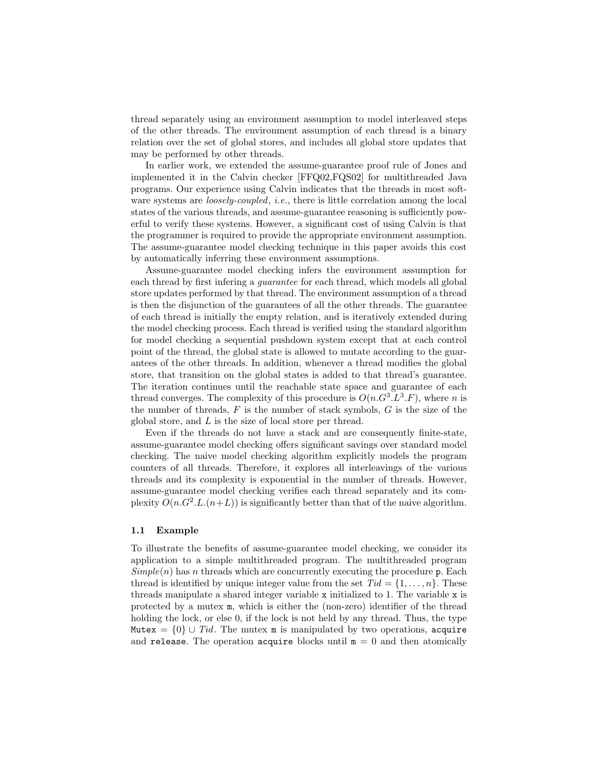thread separately using an environment assumption to model interleaved steps of the other threads. The environment assumption of each thread is a binary relation over the set of global stores, and includes all global store updates that may be performed by other threads.

In earlier work, we extended the assume-guarantee proof rule of Jones and implemented it in the Calvin checker [FFQ02,FQS02] for multithreaded Java programs. Our experience using Calvin indicates that the threads in most software systems are *loosely-coupled*, *i.e.*, there is little correlation among the local states of the various threads, and assume-guarantee reasoning is sufficiently powerful to verify these systems. However, a significant cost of using Calvin is that the programmer is required to provide the appropriate environment assumption. The assume-guarantee model checking technique in this paper avoids this cost by automatically inferring these environment assumptions.

Assume-guarantee model checking infers the environment assumption for each thread by first infering a guarantee for each thread, which models all global store updates performed by that thread. The environment assumption of a thread is then the disjunction of the guarantees of all the other threads. The guarantee of each thread is initially the empty relation, and is iteratively extended during the model checking process. Each thread is verified using the standard algorithm for model checking a sequential pushdown system except that at each control point of the thread, the global state is allowed to mutate according to the guarantees of the other threads. In addition, whenever a thread modifies the global store, that transition on the global states is added to that thread's guarantee. The iteration continues until the reachable state space and guarantee of each thread converges. The complexity of this procedure is  $O(n \cdot G^3 \cdot L^3 \cdot F)$ , where n is the number of threads,  $F$  is the number of stack symbols,  $G$  is the size of the global store, and L is the size of local store per thread.

Even if the threads do not have a stack and are consequently finite-state, assume-guarantee model checking offers significant savings over standard model checking. The naive model checking algorithm explicitly models the program counters of all threads. Therefore, it explores all interleavings of the various threads and its complexity is exponential in the number of threads. However, assume-guarantee model checking verifies each thread separately and its complexity  $O(n \cdot G^2 \cdot L \cdot (n+L))$  is significantly better than that of the naive algorithm.

#### 1.1 Example

To illustrate the benefits of assume-guarantee model checking, we consider its application to a simple multithreaded program. The multithreaded program  $Simple(n)$  has n threads which are concurrently executing the procedure p. Each thread is identified by unique integer value from the set  $Tid = \{1, \ldots, n\}$ . These threads manipulate a shared integer variable x initialized to 1. The variable x is protected by a mutex m, which is either the (non-zero) identifier of the thread holding the lock, or else 0, if the lock is not held by any thread. Thus, the type Mutex =  $\{0\} \cup Tid$ . The mutex m is manipulated by two operations, acquire and release. The operation acquire blocks until  $m = 0$  and then atomically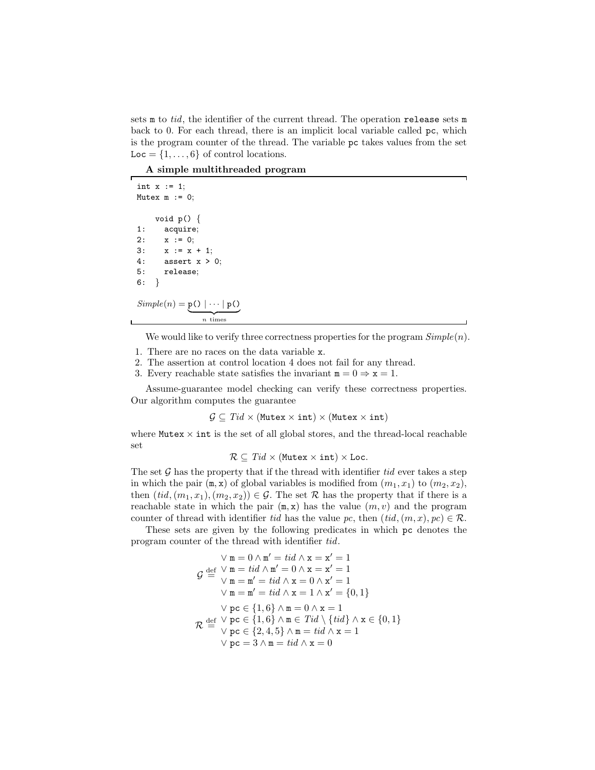sets  $m$  to tid, the identifier of the current thread. The operation release sets  $m$ back to 0. For each thread, there is an implicit local variable called pc, which is the program counter of the thread. The variable pc takes values from the set  $Loc = \{1, \ldots, 6\}$  of control locations.

A simple multithreaded program

int  $x := 1$ ; Mutex  $m := 0$ ; void p() { 1: acquire; 2:  $x := 0;$ 3:  $x := x + 1$ ; 4: assert x > 0; 5: release; 6: }

$$
Simple(n) = \underbrace{\mathbf{p}(0 | \cdots | \mathbf{p}(0))}_{n \text{ times}}
$$

 $\mathbf{L}$ 

We would like to verify three correctness properties for the program  $Simple(n)$ .

- 1. There are no races on the data variable x.
- 2. The assertion at control location 4 does not fail for any thread.
- 3. Every reachable state satisfies the invariant  $m = 0 \Rightarrow x = 1$ .

Assume-guarantee model checking can verify these correctness properties. Our algorithm computes the guarantee

 $\mathcal{G} \subseteq Tid \times (\text{Mutes} \times \text{int}) \times (\text{Mutes} \times \text{int})$ 

where  $M$ utex  $\times$  int is the set of all global stores, and the thread-local reachable set

 $\mathcal{R} \subseteq Tid \times$  (Mutex  $\times$  int)  $\times$  Loc.

The set  $\mathcal G$  has the property that if the thread with identifier tid ever takes a step in which the pair  $(m, x)$  of global variables is modified from  $(m_1, x_1)$  to  $(m_2, x_2)$ , then  $(tid,(m_1,x_1),(m_2,x_2)) \in \mathcal{G}$ . The set  $\mathcal{R}$  has the property that if there is a reachable state in which the pair  $(m, x)$  has the value  $(m, v)$  and the program counter of thread with identifier tid has the value pc, then  $(tid,(m, x), pc) \in \mathcal{R}$ .

These sets are given by the following predicates in which pc denotes the program counter of the thread with identifier tid.

$$
\lor m = 0 \land m' = tid \land x = x' = 1
$$
\n
$$
\mathcal{G} \stackrel{\text{def}}{=} \mathcal{V} \stackrel{\text{m}}{=} tid \land m' = 0 \land x = x' = 1
$$
\n
$$
\lor m = m' = tid \land x = 0 \land x' = 1
$$
\n
$$
\lor m = m' = tid \land x = 1 \land x' = \{0, 1\}
$$
\n
$$
\lor pc \in \{1, 6\} \land m = 0 \land x = 1
$$
\n
$$
\mathcal{R} \stackrel{\text{def}}{=} \mathcal{V} \stackrel{\text{pc}}{=} \{1, 6\} \land m \in \text{T}id \setminus \{tid\} \land x \in \{0, 1\}
$$
\n
$$
\lor pc \in \{2, 4, 5\} \land m = tid \land x = 1
$$
\n
$$
\lor pc = 3 \land m = tid \land x = 0
$$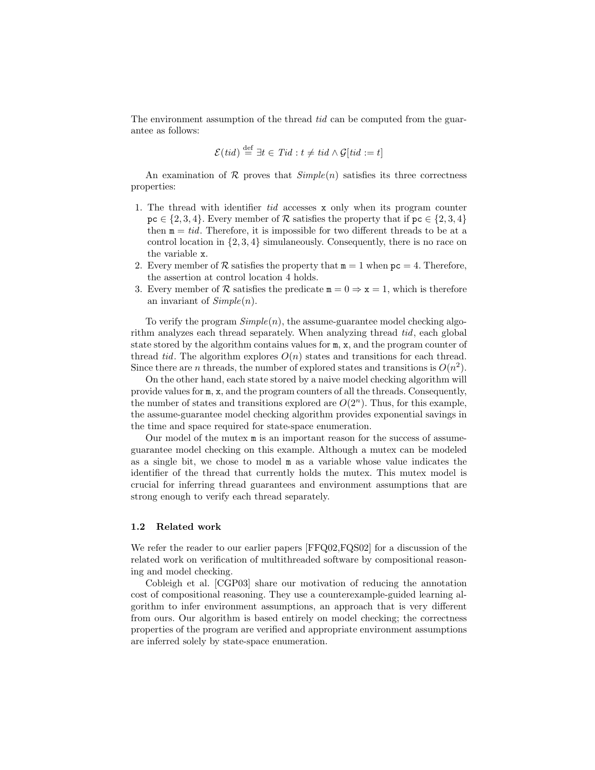The environment assumption of the thread tid can be computed from the guarantee as follows:

$$
\mathcal{E}(tid) \stackrel{\text{def}}{=} \exists t \in Tid : t \neq tid \land \mathcal{G}[tid := t]
$$

An examination of R proves that  $Simple(n)$  satisfies its three correctness properties:

- 1. The thread with identifier tid accesses x only when its program counter  $pc \in \{2, 3, 4\}$ . Every member of  $\mathcal R$  satisfies the property that if  $pc \in \{2, 3, 4\}$ then  $m = tid$ . Therefore, it is impossible for two different threads to be at a control location in {2, 3, 4} simulaneously. Consequently, there is no race on the variable x.
- 2. Every member of  $\mathcal R$  satisfies the property that  $m = 1$  when  $pc = 4$ . Therefore, the assertion at control location 4 holds.
- 3. Every member of R satisfies the predicate  $m = 0 \Rightarrow x = 1$ , which is therefore an invariant of  $Simple(n)$ .

To verify the program  $Simple(n)$ , the assume-guarantee model checking algorithm analyzes each thread separately. When analyzing thread tid, each global state stored by the algorithm contains values for m, x, and the program counter of thread tid. The algorithm explores  $O(n)$  states and transitions for each thread. Since there are *n* threads, the number of explored states and transitions is  $O(n^2)$ .

On the other hand, each state stored by a naive model checking algorithm will provide values for m, x, and the program counters of all the threads. Consequently, the number of states and transitions explored are  $O(2<sup>n</sup>)$ . Thus, for this example, the assume-guarantee model checking algorithm provides exponential savings in the time and space required for state-space enumeration.

Our model of the mutex m is an important reason for the success of assumeguarantee model checking on this example. Although a mutex can be modeled as a single bit, we chose to model m as a variable whose value indicates the identifier of the thread that currently holds the mutex. This mutex model is crucial for inferring thread guarantees and environment assumptions that are strong enough to verify each thread separately.

#### 1.2 Related work

We refer the reader to our earlier papers [FFQ02,FQS02] for a discussion of the related work on verification of multithreaded software by compositional reasoning and model checking.

Cobleigh et al. [CGP03] share our motivation of reducing the annotation cost of compositional reasoning. They use a counterexample-guided learning algorithm to infer environment assumptions, an approach that is very different from ours. Our algorithm is based entirely on model checking; the correctness properties of the program are verified and appropriate environment assumptions are inferred solely by state-space enumeration.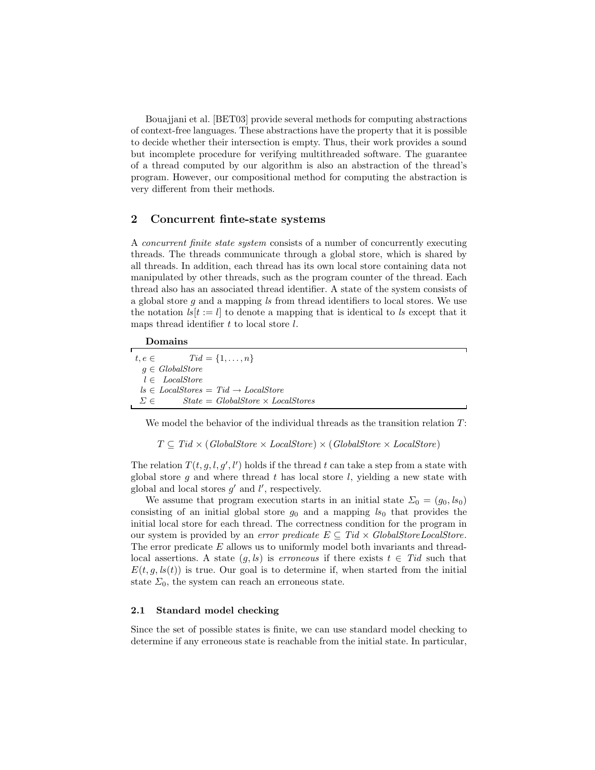Bouajjani et al. [BET03] provide several methods for computing abstractions of context-free languages. These abstractions have the property that it is possible to decide whether their intersection is empty. Thus, their work provides a sound but incomplete procedure for verifying multithreaded software. The guarantee of a thread computed by our algorithm is also an abstraction of the thread's program. However, our compositional method for computing the abstraction is very different from their methods.

# 2 Concurrent finte-state systems

A concurrent finite state system consists of a number of concurrently executing threads. The threads communicate through a global store, which is shared by all threads. In addition, each thread has its own local store containing data not manipulated by other threads, such as the program counter of the thread. Each thread also has an associated thread identifier. A state of the system consists of a global store q and a mapping  $ls$  from thread identifiers to local stores. We use the notation  $ls[t := l]$  to denote a mapping that is identical to ls except that it maps thread identifier  $t$  to local store  $l$ .

#### Domains

| $t, e \in$ $Tid = \{1, , n\}$                            |  |
|----------------------------------------------------------|--|
| $q \in GlobalStore$                                      |  |
| $l \in LocalStore$                                       |  |
| $ls \in LocalStores = Tid \rightarrow LocalStore$        |  |
| $State = GlobalStore \times LocalStores$<br>$\Sigma \in$ |  |

We model the behavior of the individual threads as the transition relation  $T$ :

 $T \subseteq Tid \times (GlobalStore \times LocalStore) \times (GlobalStore \times LocalStore)$ 

The relation  $T(t, g, l, g', l')$  holds if the thread t can take a step from a state with global store g and where thread t has local store  $l$ , yielding a new state with global and local stores  $g'$  and  $l'$ , respectively.

We assume that program execution starts in an initial state  $\Sigma_0 = (g_0, ls_0)$ consisting of an initial global store  $g_0$  and a mapping  $ls_0$  that provides the initial local store for each thread. The correctness condition for the program in our system is provided by an *error predicate*  $E \subseteq Tid \times GlobalStoreLocalStore$ . The error predicate E allows us to uniformly model both invariants and threadlocal assertions. A state  $(g, ls)$  is *erroneous* if there exists  $t \in Tid$  such that  $E(t, g, ls(t))$  is true. Our goal is to determine if, when started from the initial state  $\Sigma_0$ , the system can reach an erroneous state.

#### 2.1 Standard model checking

Since the set of possible states is finite, we can use standard model checking to determine if any erroneous state is reachable from the initial state. In particular,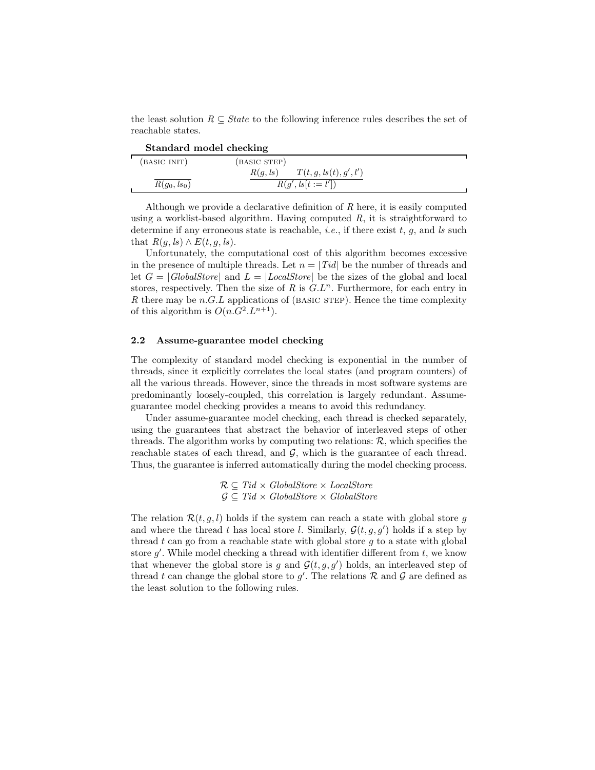the least solution  $R \subseteq State$  to the following inference rules describes the set of reachable states.

|                | Standard model checking            |  |
|----------------|------------------------------------|--|
| (BASIC INIT)   | (BASIC STEP)                       |  |
|                | T(t, g, ls(t), g', l')<br>R(q, ls) |  |
| $R(g_0, ls_0)$ | $R(g', \text{ls}[t := l'])$        |  |

Although we provide a declarative definition of  $R$  here, it is easily computed using a worklist-based algorithm. Having computed  $R$ , it is straightforward to determine if any erroneous state is reachable, *i.e.*, if there exist  $t, g$ , and ls such that  $R(g, ls) \wedge E(t, g, ls)$ .

Unfortunately, the computational cost of this algorithm becomes excessive in the presence of multiple threads. Let  $n = |Tid|$  be the number of threads and let  $G = |GlobalStore|$  and  $L = |LocalStore|$  be the sizes of the global and local stores, respectively. Then the size of  $R$  is  $G.L^n$ . Furthermore, for each entry in R there may be  $n.G.L$  applications of (BASIC STEP). Hence the time complexity of this algorithm is  $O(n \cdot G^2 \cdot L^{n+1})$ .

#### 2.2 Assume-guarantee model checking

The complexity of standard model checking is exponential in the number of threads, since it explicitly correlates the local states (and program counters) of all the various threads. However, since the threads in most software systems are predominantly loosely-coupled, this correlation is largely redundant. Assumeguarantee model checking provides a means to avoid this redundancy.

Under assume-guarantee model checking, each thread is checked separately, using the guarantees that abstract the behavior of interleaved steps of other threads. The algorithm works by computing two relations:  $\mathcal{R}$ , which specifies the reachable states of each thread, and  $G$ , which is the guarantee of each thread. Thus, the guarantee is inferred automatically during the model checking process.

> $\mathcal{R} \subseteq \text{Tid} \times \text{GlobalStore} \times \text{LocalStore}$  $\mathcal{G} \subseteq Tid \times GlobalStore \times GlobalStore$

The relation  $\mathcal{R}(t, g, l)$  holds if the system can reach a state with global store g and where the thread t has local store l. Similarly,  $\mathcal{G}(t, g, g')$  holds if a step by thread t can go from a reachable state with global store q to a state with global store  $g'$ . While model checking a thread with identifier different from  $t$ , we know that whenever the global store is g and  $\mathcal{G}(t, g, g')$  holds, an interleaved step of thread t can change the global store to  $g'$ . The relations R and G are defined as the least solution to the following rules.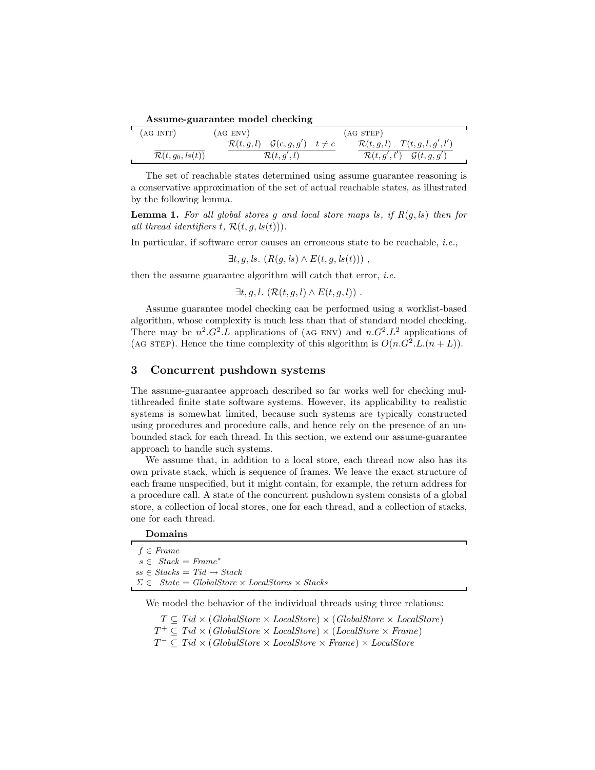| Assume-guarantee model checking |  |
|---------------------------------|--|
|                                 |  |

| (AGINT)                      | (AG ENV) |                                                           | (AG <sub>STEP</sub> ) |                                                  |  |
|------------------------------|----------|-----------------------------------------------------------|-----------------------|--------------------------------------------------|--|
|                              |          | $\mathcal{R}(t, g, l)$ $\mathcal{G}(e, g, g')$ $t \neq e$ |                       | $\mathcal{R}(t, g, l)$ $T(t, g, l, g', l')$      |  |
| $\mathcal{R}(t, g_0, ls(t))$ |          | $\mathcal{R}(t,g',l)$                                     |                       | $\mathcal{R}(t, g', l')$ $\mathcal{G}(t, g, g')$ |  |

The set of reachable states determined using assume guarantee reasoning is a conservative approximation of the set of actual reachable states, as illustrated by the following lemma.

**Lemma 1.** For all global stores g and local store maps ls, if  $R(q, ls)$  then for all thread identifiers t,  $\mathcal{R}(t, g, ls(t))$ .

In particular, if software error causes an erroneous state to be reachable, *i.e.*,

 $\exists t, q, ls. (R(q, ls) \wedge E(t, g, ls(t)))$ ,

then the assume guarantee algorithm will catch that error, *i.e.* 

 $\exists t, g, l. \left(\mathcal{R}(t, g, l) \wedge E(t, g, l)\right)$ .

Assume guarantee model checking can be performed using a worklist-based algorithm, whose complexity is much less than that of standard model checking. There may be  $n^2 \cdot G^2 \cdot L$  applications of (AG ENV) and  $n \cdot G^2 \cdot L^2$  applications of (AG STEP). Hence the time complexity of this algorithm is  $O(n \cdot G^2 \cdot L \cdot (n+L)).$ 

## 3 Concurrent pushdown systems

The assume-guarantee approach described so far works well for checking multithreaded finite state software systems. However, its applicability to realistic systems is somewhat limited, because such systems are typically constructed using procedures and procedure calls, and hence rely on the presence of an unbounded stack for each thread. In this section, we extend our assume-guarantee approach to handle such systems.

We assume that, in addition to a local store, each thread now also has its own private stack, which is sequence of frames. We leave the exact structure of each frame unspecified, but it might contain, for example, the return address for a procedure call. A state of the concurrent pushdown system consists of a global store, a collection of local stores, one for each thread, and a collection of stacks, one for each thread.

| Jomains |
|---------|
|         |
|         |

| $f \in Frame$                                                                                         |
|-------------------------------------------------------------------------------------------------------|
| $s \in Stack = Frame^*$                                                                               |
| $ss \in Stacks = Tid \rightarrow Stack$                                                               |
| $\Sigma \in \textit{State} = \textit{GlobalStore} \times \textit{LocalStores} \times \textit{Stacks}$ |

We model the behavior of the individual threads using three relations:

 $T \subseteq Tid \times (GlobalStore \times LocalStore) \times (GlobalStore \times LocalStore)$  $T^+ \subseteq Tid \times (GlobalStore \times LocalStore) \times (LocalStore \times Frame)$  $T^{-} \subseteq Tid \times (GlobalStore \times LocalStore \times Frame) \times LocalStore$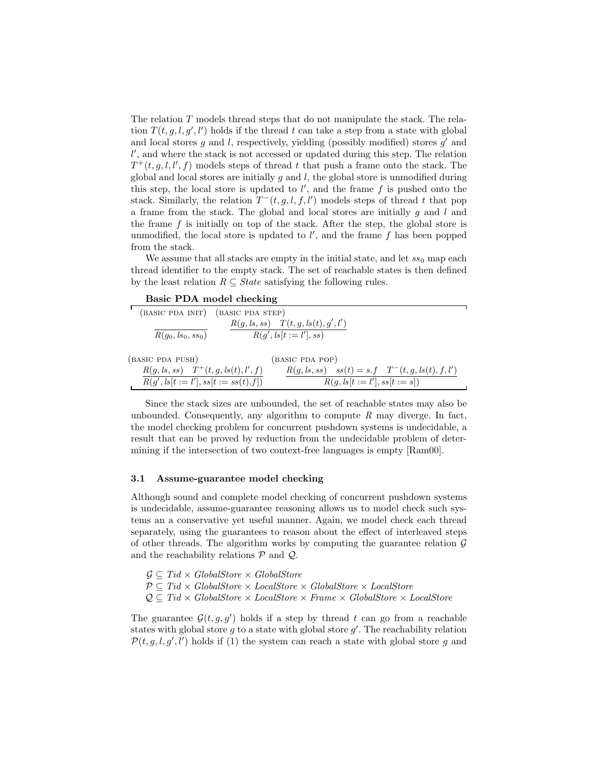The relation T models thread steps that do not manipulate the stack. The relation  $T(t, g, l, g', l')$  holds if the thread t can take a step from a state with global and local stores  $g$  and  $l$ , respectively, yielding (possibly modified) stores  $g'$  and  $l'$ , and where the stack is not accessed or updated during this step. The relation  $T^+(t, g, l, l', f)$  models steps of thread t that push a frame onto the stack. The global and local stores are initially  $g$  and  $l$ , the global store is unmodified during this step, the local store is updated to  $l'$ , and the frame  $f$  is pushed onto the stack. Similarly, the relation  $T^-(t, g, l, f, l')$  models steps of thread t that pop a frame from the stack. The global and local stores are initially  $g$  and  $l$  and the frame  $f$  is initially on top of the stack. After the step, the global store is unmodified, the local store is updated to  $l'$ , and the frame  $f$  has been popped from the stack.

We assume that all stacks are empty in the initial state, and let  $ss_0$  map each thread identifier to the empty stack. The set of reachable states is then defined by the least relation  $R \subseteq State$  satisfying the following rules.

Basic PDA model checking

|                                                             | (BASIC PDA INIT) (BASIC PDA STEP)                      |
|-------------------------------------------------------------|--------------------------------------------------------|
|                                                             | $R(g, ls, ss)$ $T(t, g, ls(t), g', l')$                |
| $R(q_0, ls_0, ss_0)$                                        | $R(q',  s[t := l'], ss)$                               |
|                                                             |                                                        |
| (BASIC PDA PUSH)                                            | (BASIC PDA POP)                                        |
| $R(g, ls, ss)$ $T^+(t, g, ls(t), l', f)$                    | $R(g, ls, ss)$ $ss(t) = s.f$ $T^-(t, g, ls(t), f, l')$ |
| $R(g', \text{ls}[t := l'], \text{ss}[t := \text{ss}(t).f])$ | $R(q, ls[t := l'], ss[t := s])$                        |

Since the stack sizes are unbounded, the set of reachable states may also be unbounded. Consequently, any algorithm to compute  $R$  may diverge. In fact, the model checking problem for concurrent pushdown systems is undecidable, a result that can be proved by reduction from the undecidable problem of determining if the intersection of two context-free languages is empty [Ram00].

#### 3.1 Assume-guarantee model checking

Although sound and complete model checking of concurrent pushdown systems is undecidable, assume-guarantee reasoning allows us to model check such systems an a conservative yet useful manner. Again, we model check each thread separately, using the guarantees to reason about the effect of interleaved steps of other threads. The algorithm works by computing the guarantee relation  $\mathcal G$ and the reachability relations  $P$  and  $Q$ .

- $G \subseteq Tid \times GlobalStore \times GlobalStore$
- $P \subseteq Tid \times GlobalStore \times LocalStore \times GlobalStore \times LocalStore$
- $\mathcal{Q} \subseteq Tid \times GlobalStore \times LocalStore \times Frame \times GlobalStore \times LocalStore$

The guarantee  $\mathcal{G}(t, g, g')$  holds if a step by thread t can go from a reachable states with global store  $g$  to a state with global store  $g'$ . The reachability relation  $\mathcal{P}(t, g, l, g', l')$  holds if (1) the system can reach a state with global store g and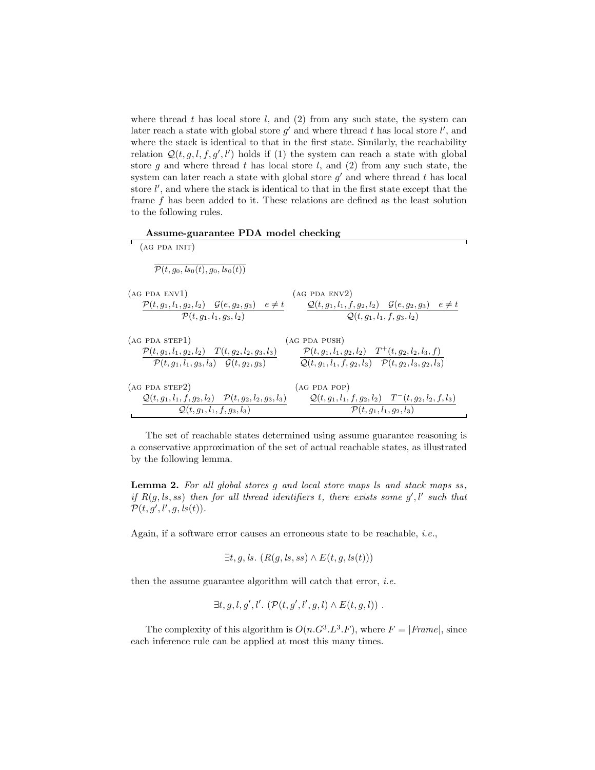where thread  $t$  has local store  $l$ , and  $(2)$  from any such state, the system can later reach a state with global store  $g'$  and where thread t has local store  $l'$ , and where the stack is identical to that in the first state. Similarly, the reachability relation  $\mathcal{Q}(t, g, l, f, g', l')$  holds if (1) the system can reach a state with global store  $g$  and where thread  $t$  has local store  $l$ , and  $(2)$  from any such state, the system can later reach a state with global store  $g'$  and where thread t has local store  $l'$ , and where the stack is identical to that in the first state except that the frame f has been added to it. These relations are defined as the least solution to the following rules.

Assume-guarantee PDA model checking

| (AG PDA INIT)                                                                                                                      |                                                                                                                                       |
|------------------------------------------------------------------------------------------------------------------------------------|---------------------------------------------------------------------------------------------------------------------------------------|
| $\mathcal{P}(t, g_0, ls_0(t), g_0, ls_0(t))$                                                                                       |                                                                                                                                       |
| (AG PDA ENV1)                                                                                                                      | (AG PDA ENV2)                                                                                                                         |
| $\mathcal{P}(t, q_1, l_1, q_2, l_2)$ $\mathcal{G}(e, q_2, q_3)$ $e \neq t$<br>$\mathcal{P}(t, g_1, l_1, g_3, l_2)$                 | $Q(t, q_1, l_1, f, q_2, l_2)$ $Q(e, q_2, q_3)$ $e \neq t$<br>$Q(t, q_1, l_1, f, q_3, l_2)$                                            |
| (AG PDA STEP1)                                                                                                                     | (AG PDA PUSH)                                                                                                                         |
| $\mathcal{P}(t, g_1, l_1, g_2, l_2)$ $T(t, g_2, l_2, g_3, l_3)$<br>$\mathcal{P}(t, q_1, l_1, q_3, l_3)$ $\mathcal{G}(t, q_2, q_3)$ | $\mathcal{P}(t, g_1, l_1, g_2, l_2)$ $T^+(t, g_2, l_2, l_3, f)$<br>$Q(t, g_1, l_1, f, g_2, l_3)$ $\mathcal{P}(t, g_2, l_3, g_2, l_3)$ |
| (AG PDA STEP2)                                                                                                                     | (AG PDA POP)                                                                                                                          |
| $Q(t, g_1, l_1, f, g_2, l_2)$ $\mathcal{P}(t, g_2, l_2, g_3, l_3)$                                                                 | $Q(t, g_1, l_1, f, g_2, l_2)$ $T^-(t, g_2, l_2, f, l_3)$                                                                              |
| $Q(t, g_1, l_1, f, g_3, l_3)$                                                                                                      | $\mathcal{P}(t, q_1, l_1, q_2, l_3)$                                                                                                  |

The set of reachable states determined using assume guarantee reasoning is a conservative approximation of the set of actual reachable states, as illustrated by the following lemma.

Lemma 2. For all global stores g and local store maps is and stack maps ss, if  $R(g, ls, ss)$  then for all thread identifiers t, there exists some  $g', l'$  such that  $\mathcal{P}(t, g', l', g, ls(t)).$ 

Again, if a software error causes an erroneous state to be reachable, i.e.,

$$
\exists t, g, ls. (R(g, ls, ss) \land E(t, g, ls(t)))
$$

then the assume guarantee algorithm will catch that error, *i.e.* 

$$
\exists t, g, l, g', l'. \; (\mathcal{P}(t, g', l', g, l) \wedge E(t, g, l)) \; .
$$

The complexity of this algorithm is  $O(n \cdot G^3 \cdot L^3 \cdot F)$ , where  $F = |Frame|$ , since each inference rule can be applied at most this many times.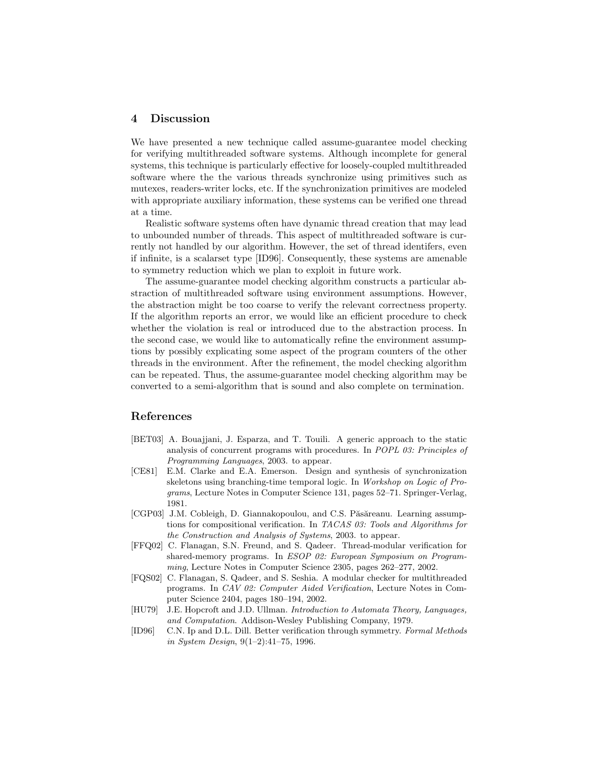### 4 Discussion

We have presented a new technique called assume-guarantee model checking for verifying multithreaded software systems. Although incomplete for general systems, this technique is particularly effective for loosely-coupled multithreaded software where the the various threads synchronize using primitives such as mutexes, readers-writer locks, etc. If the synchronization primitives are modeled with appropriate auxiliary information, these systems can be verified one thread at a time.

Realistic software systems often have dynamic thread creation that may lead to unbounded number of threads. This aspect of multithreaded software is currently not handled by our algorithm. However, the set of thread identifers, even if infinite, is a scalarset type [ID96]. Consequently, these systems are amenable to symmetry reduction which we plan to exploit in future work.

The assume-guarantee model checking algorithm constructs a particular abstraction of multithreaded software using environment assumptions. However, the abstraction might be too coarse to verify the relevant correctness property. If the algorithm reports an error, we would like an efficient procedure to check whether the violation is real or introduced due to the abstraction process. In the second case, we would like to automatically refine the environment assumptions by possibly explicating some aspect of the program counters of the other threads in the environment. After the refinement, the model checking algorithm can be repeated. Thus, the assume-guarantee model checking algorithm may be converted to a semi-algorithm that is sound and also complete on termination.

# References

- [BET03] A. Bouajjani, J. Esparza, and T. Touili. A generic approach to the static analysis of concurrent programs with procedures. In POPL 03: Principles of Programming Languages, 2003. to appear.
- [CE81] E.M. Clarke and E.A. Emerson. Design and synthesis of synchronization skeletons using branching-time temporal logic. In Workshop on Logic of Programs, Lecture Notes in Computer Science 131, pages 52–71. Springer-Verlag, 1981.
- [CGP03] J.M. Cobleigh, D. Giannakopoulou, and C.S. Păsăreanu. Learning assumptions for compositional verification. In TACAS 03: Tools and Algorithms for the Construction and Analysis of Systems, 2003. to appear.
- [FFQ02] C. Flanagan, S.N. Freund, and S. Qadeer. Thread-modular verification for shared-memory programs. In ESOP 02: European Symposium on Programming, Lecture Notes in Computer Science 2305, pages 262–277, 2002.
- [FQS02] C. Flanagan, S. Qadeer, and S. Seshia. A modular checker for multithreaded programs. In CAV 02: Computer Aided Verification, Lecture Notes in Computer Science 2404, pages 180–194, 2002.
- [HU79] J.E. Hopcroft and J.D. Ullman. Introduction to Automata Theory, Languages, and Computation. Addison-Wesley Publishing Company, 1979.
- [ID96] C.N. Ip and D.L. Dill. Better verification through symmetry. Formal Methods in System Design, 9(1–2):41–75, 1996.